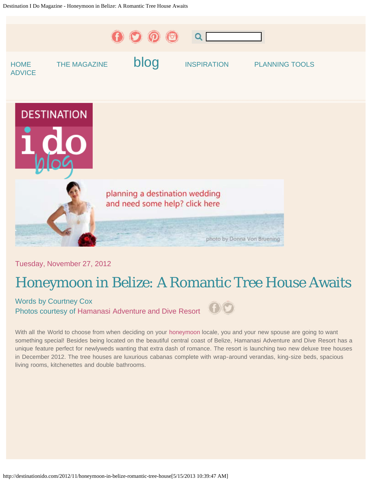<span id="page-0-0"></span>

Tuesday, November 27, 2012

## Honeymoon in Belize: A Romantic Tree House Awaits

Words by Courtney Cox Photos courtesy of [Hamanasi Adventure and Dive Resort](http://www.hamanasi.com/)



With all the World to choose from when deciding on your [honeymoon](http://www.destinationidomag.com/) locale, you and your new spouse are going to want something special! Besides being located on the beautiful central coast of Belize, Hamanasi Adventure and Dive Resort has a unique feature perfect for newlyweds wanting that extra dash of romance. The resort is launching two new deluxe tree houses in December 2012. The tree houses are luxurious cabanas complete with wrap-around verandas, king-size beds, spacious living rooms, kitchenettes and double bathrooms.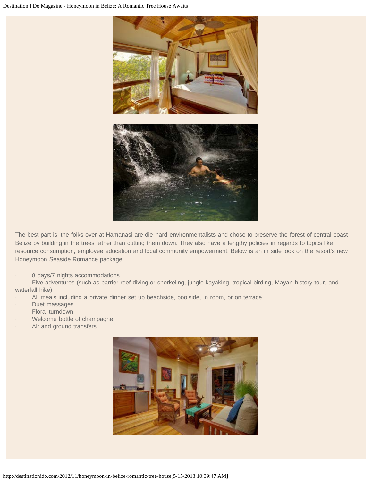

The best part is, the folks over at Hamanasi are die-hard environmentalists and chose to preserve the forest of central coast Belize by building in the trees rather than cutting them down. They also have a lengthy policies in regards to topics like resource consumption, employee education and local community empowerment. Below is an in side look on the resort's new Honeymoon Seaside Romance package:

8 days/7 nights accommodations

Five adventures (such as barrier reef diving or snorkeling, jungle kayaking, tropical birding, Mayan history tour, and waterfall hike)

- All meals including a private dinner set up beachside, poolside, in room, or on terrace
- Duet massages
- Floral turndown
- Welcome bottle of champagne
- Air and ground transfers